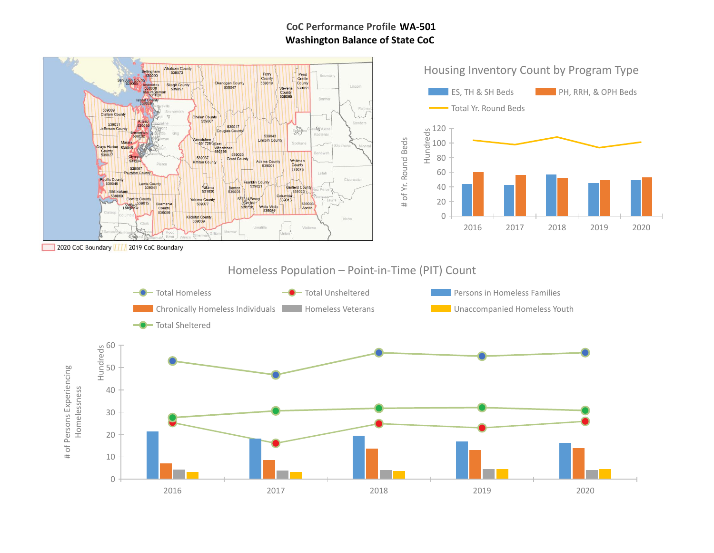# **WA-501 CoC Performance Profile Washington Balance of State CoC**

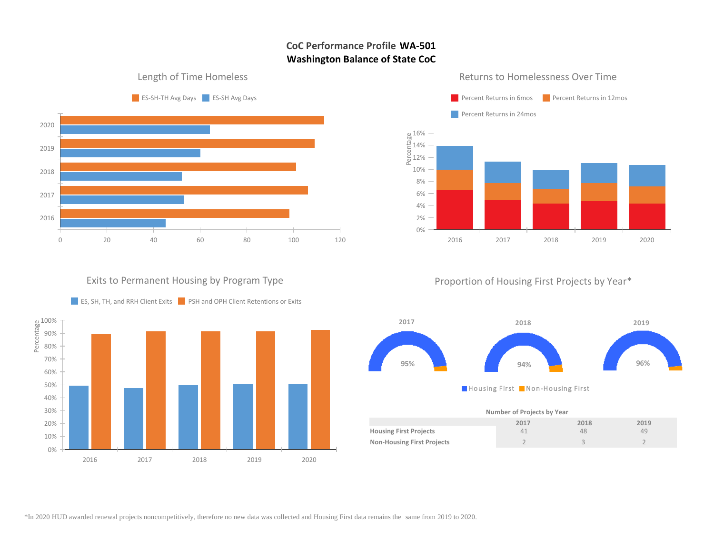# **CoC Performance Profile WA-501 Washington Balance of State CoC**

0% 2%

#### Length of Time Homeless



## **Paragentra Percent Returns in 6mos** Percent Returns in 12mos Percent Returns in 24mos  $\sim$ e 16%<br>Terra<br>E 14%<br>C 12%<br>C 14% 12% 10% 8% 6% 4%

#### Returns to Homelessness Over Time

Proportion of Housing First Projects by Year\*

2016 2017 2018 2019 2020



Housing First Non-Housing First

| Number of Projects by Year        |      |      |      |  |  |  |  |
|-----------------------------------|------|------|------|--|--|--|--|
|                                   | 2017 | 2018 | 2019 |  |  |  |  |
| <b>Housing First Projects</b>     | 41   | 48   | 49   |  |  |  |  |
| <b>Non-Housing First Projects</b> |      |      |      |  |  |  |  |